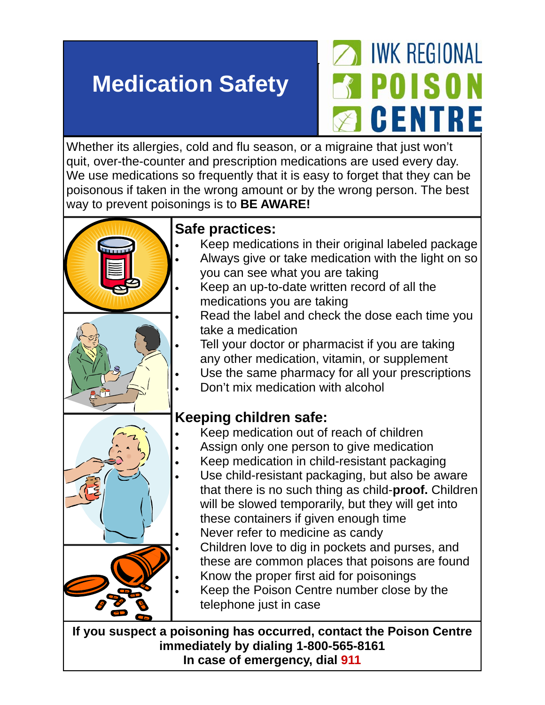## **Medication Safety**

## **IWK REGIONAL** POISON GENTRE

Whether its allergies, cold and flu season, or a migraine that just won't quit, over-the-counter and prescription medications are used every day. We use medications so frequently that it is easy to forget that they can be poisonous if taken in the wrong amount or by the wrong person. The best way to prevent poisonings is to **BE AWARE!**



**If you suspect a poisoning has occurred, contact the Poison Centre immediately by dialing 1-800-565-8161 In case of emergency, dial 911**